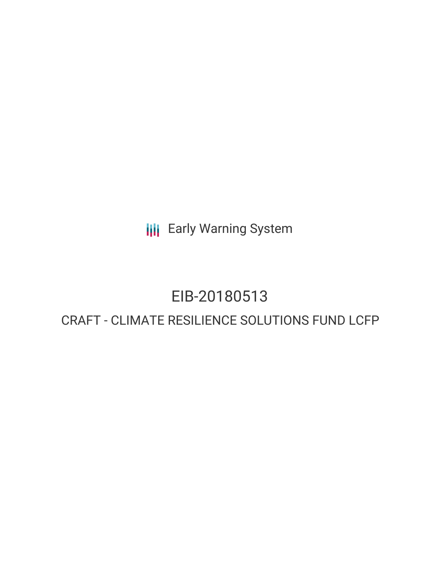**III** Early Warning System

## EIB-20180513

### CRAFT - CLIMATE RESILIENCE SOLUTIONS FUND LCFP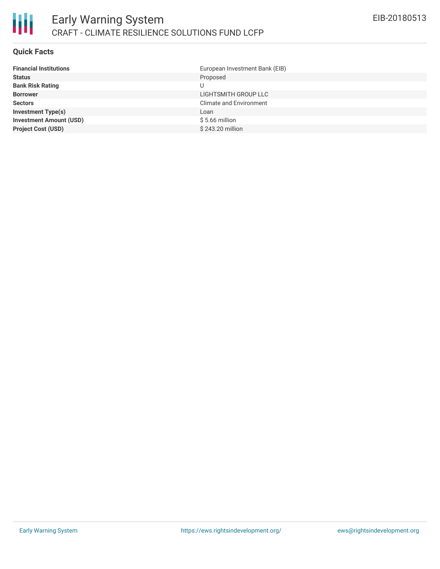

### **Quick Facts**

| European Investment Bank (EIB) |
|--------------------------------|
| Proposed                       |
|                                |
| LIGHTSMITH GROUP LLC           |
| <b>Climate and Environment</b> |
| Loan                           |
| $$5.66$ million                |
| \$243.20 million               |
|                                |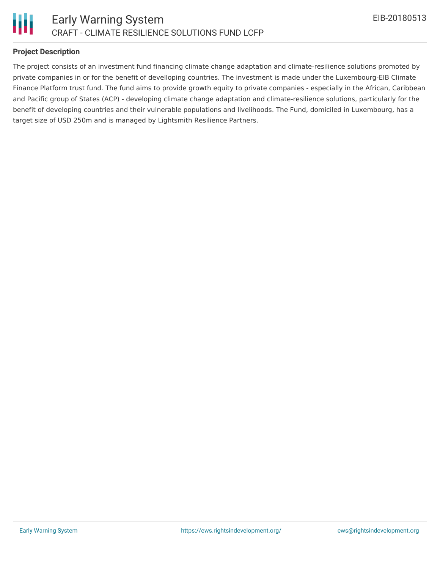

### **Project Description**

The project consists of an investment fund financing climate change adaptation and climate-resilience solutions promoted by private companies in or for the benefit of develloping countries. The investment is made under the Luxembourg-EIB Climate Finance Platform trust fund. The fund aims to provide growth equity to private companies - especially in the African, Caribbean and Pacific group of States (ACP) - developing climate change adaptation and climate-resilience solutions, particularly for the benefit of developing countries and their vulnerable populations and livelihoods. The Fund, domiciled in Luxembourg, has a target size of USD 250m and is managed by Lightsmith Resilience Partners.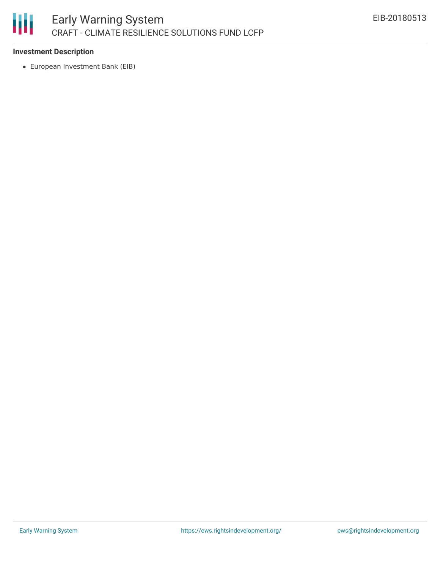# 朋

### **Investment Description**

European Investment Bank (EIB)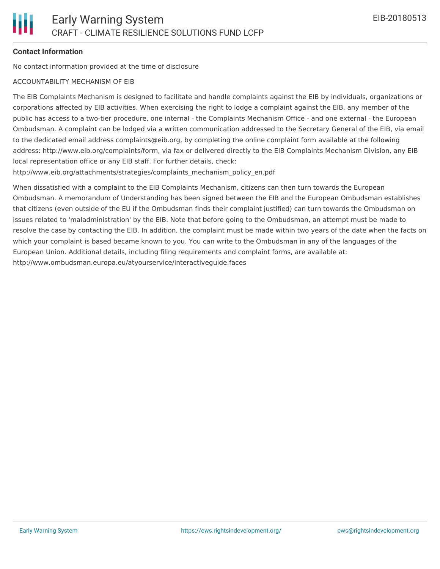### **Contact Information**

No contact information provided at the time of disclosure

#### ACCOUNTABILITY MECHANISM OF EIB

The EIB Complaints Mechanism is designed to facilitate and handle complaints against the EIB by individuals, organizations or corporations affected by EIB activities. When exercising the right to lodge a complaint against the EIB, any member of the public has access to a two-tier procedure, one internal - the Complaints Mechanism Office - and one external - the European Ombudsman. A complaint can be lodged via a written communication addressed to the Secretary General of the EIB, via email to the dedicated email address complaints@eib.org, by completing the online complaint form available at the following address: http://www.eib.org/complaints/form, via fax or delivered directly to the EIB Complaints Mechanism Division, any EIB local representation office or any EIB staff. For further details, check:

http://www.eib.org/attachments/strategies/complaints\_mechanism\_policy\_en.pdf

When dissatisfied with a complaint to the EIB Complaints Mechanism, citizens can then turn towards the European Ombudsman. A memorandum of Understanding has been signed between the EIB and the European Ombudsman establishes that citizens (even outside of the EU if the Ombudsman finds their complaint justified) can turn towards the Ombudsman on issues related to 'maladministration' by the EIB. Note that before going to the Ombudsman, an attempt must be made to resolve the case by contacting the EIB. In addition, the complaint must be made within two years of the date when the facts on which your complaint is based became known to you. You can write to the Ombudsman in any of the languages of the European Union. Additional details, including filing requirements and complaint forms, are available at: http://www.ombudsman.europa.eu/atyourservice/interactiveguide.faces